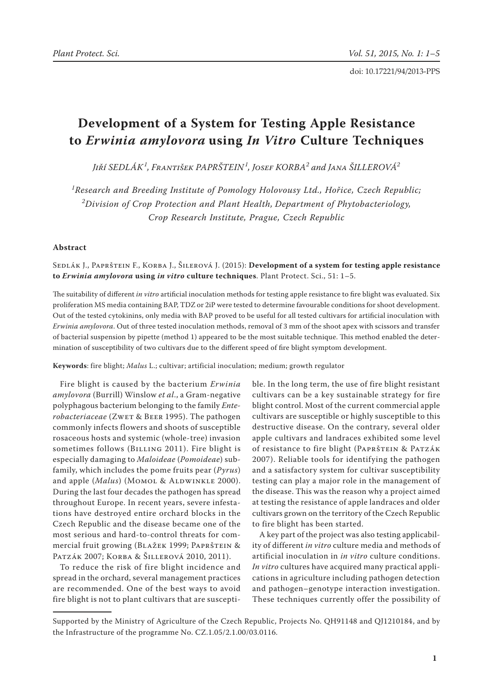# **Development of a System for Testing Apple Resistance to** *Erwinia amylovora* **using** *In Vitro* **Culture Techniques**

*Jiří SEDLÁK<sup>1</sup> , František PAPRŠTEIN<sup>1</sup> , Josef KORBA<sup>2</sup> and Jana ŠILLEROVÁ<sup>2</sup>*

*1 Research and Breeding Institute of Pomology Holovousy Ltd., Hořice, Czech Republic; 2 Division of Crop Protection and Plant Health, Department of Phytobacteriology, Crop Research Institute, Prague, Czech Republic*

#### **Abstract**

Sedlák J., Paprštein F., Korba J., Šilerová J. (2015): **Development of a system for testing apple resistance to** *Erwinia amylovora* **using** *in vitro* **culture techniques**. Plant Protect. Sci., 51: 1–5.

The suitability of different *in vitro* artificial inoculation methods for testing apple resistance to fire blight was evaluated. Six proliferation MS media containing BAP, TDZ or 2iP were tested to determine favourable conditions for shoot development. Out of the tested cytokinins, only media with BAP proved to be useful for all tested cultivars for artificial inoculation with *Erwinia amylovora*. Out of three tested inoculation methods, removal of 3 mm of the shoot apex with scissors and transfer of bacterial suspension by pipette (method 1) appeared to be the most suitable technique. This method enabled the determination of susceptibility of two cultivars due to the different speed of fire blight symptom development.

**Keywords**: fire blight; *Malus* L.; cultivar; artificial inoculation; medium; growth regulator

Fire blight is caused by the bacterium *Erwinia amylovora* (Burrill) Winslow *et al*., a Gram-negative polyphagous bacterium belonging to the family *Ente*robacteriaceae (Zwer & Beer 1995). The pathogen commonly infects flowers and shoots of susceptible rosaceous hosts and systemic (whole-tree) invasion sometimes follows (BILLING 2011). Fire blight is especially damaging to *Maloideae* (*Pomoideae*) subfamily, which includes the pome fruits pear (*Pyrus*) and apple (*Malus*) (MOMOL & ALDWINKLE 2000). During the last four decades the pathogen has spread throughout Europe. In recent years, severe infestations have destroyed entire orchard blocks in the Czech Republic and the disease became one of the most serious and hard-to-control threats for commercial fruit growing (Blažek 1999; Paprštein & Patzák 2007; Korba & Šillerová 2010, 2011).

To reduce the risk of fire blight incidence and spread in the orchard, several management practices are recommended. One of the best ways to avoid fire blight is not to plant cultivars that are suscepti-

ble. In the long term, the use of fire blight resistant cultivars can be a key sustainable strategy for fire blight control. Most of the current commercial apple cultivars are susceptible or highly susceptible to this destructive disease. On the contrary, several older apple cultivars and landraces exhibited some level of resistance to fire blight (Paprštein & Patzák 2007). Reliable tools for identifying the pathogen and a satisfactory system for cultivar susceptibility testing can play a major role in the management of the disease. This was the reason why a project aimed at testing the resistance of apple landraces and older cultivars grown on the territory of the Czech Republic to fire blight has been started.

A key part of the project was also testing applicability of different *in vitro* culture media and methods of artificial inoculation in *in vitro* culture conditions. *In vitro* cultures have acquired many practical applications in agriculture including pathogen detection and pathogen–genotype interaction investigation. These techniques currently offer the possibility of

Supported by the Ministry of Agriculture of the Czech Republic, Projects No. QH91148 and QJ1210184, and by the Infrastructure of the programme No. CZ.1.05/2.1.00/03.0116.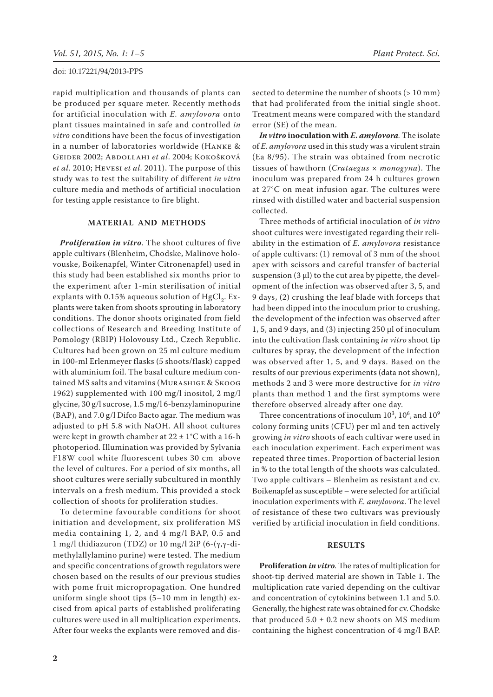rapid multiplication and thousands of plants can be produced per square meter. Recently methods for artificial inoculation with *E. amylovora* onto plant tissues maintained in safe and controlled *in vitro* conditions have been the focus of investigation in a number of laboratories worldwide (Hanke & Geider 2002; Abdollahi *et al*. 2004; Kokošková *et al*. 2010; Hevesi *et al*. 2011). The purpose of this study was to test the suitability of different *in vitro* culture media and methods of artificial inoculation for testing apple resistance to fire blight.

# **MATERIAL AND METHODS**

*Proliferation in vitro*. The shoot cultures of five apple cultivars (Blenheim, Chodske, Malinove holovouske, Boikenapfel, Winter Citronenapfel) used in this study had been established six months prior to the experiment after 1-min sterilisation of initial explants with  $0.15\%$  aqueous solution of HgCl<sub>2</sub>. Explants were taken from shoots sprouting in laboratory conditions. The donor shoots originated from field collections of Research and Breeding Institute of Pomology (RBIP) Holovousy Ltd., Czech Republic. Cultures had been grown on 25 ml culture medium in 100-ml Erlenmeyer flasks (5 shoots/flask) capped with aluminium foil. The basal culture medium contained MS salts and vitamins (Murashige & Skoog 1962) supplemented with 100 mg/l inositol, 2 mg/l glycine, 30 g/l sucrose, 1.5 mg/l 6-benzylaminopurine (BAP), and 7.0 g/l Difco Bacto agar. The medium was adjusted to pH 5.8 with NaOH. All shoot cultures were kept in growth chamber at  $22 \pm 1$ °C with a 16-h photoperiod. Illumination was provided by Sylvania F18W cool white fluorescent tubes 30 cm above the level of cultures. For a period of six months, all shoot cultures were serially subcultured in monthly intervals on a fresh medium. This provided a stock collection of shoots for proliferation studies.

To determine favourable conditions for shoot initiation and development, six proliferation MS media containing 1, 2, and 4 mg/l BAP, 0.5 and 1 mg/l thidiazuron (TDZ) or 10 mg/l 2iP (6-(γ,γ-dimethylallylamino purine) were tested. The medium and specific concentrations of growth regulators were chosen based on the results of our previous studies with pome fruit micropropagation. One hundred uniform single shoot tips (5–10 mm in length) excised from apical parts of established proliferating cultures were used in all multiplication experiments. After four weeks the explants were removed and dis-

sected to determine the number of shoots (> 10 mm) that had proliferated from the initial single shoot. Treatment means were compared with the standard error (SE) of the mean.

*In vitro* **inoculation with** *E. amylovora.* The isolate of *E. amylovora* used in this study was a virulent strain (Ea 8/95). The strain was obtained from necrotic tissues of hawthorn (*Crataegus* × *monogyna*). The inoculum was prepared from 24 h cultures grown at 27°C on meat infusion agar. The cultures were rinsed with distilled water and bacterial suspension collected.

Three methods of artificial inoculation of *in vitro* shoot cultures were investigated regarding their reliability in the estimation of *E. amylovora* resistance of apple cultivars: (1) removal of 3 mm of the shoot apex with scissors and careful transfer of bacterial suspension  $(3 \mu l)$  to the cut area by pipette, the development of the infection was observed after 3, 5, and 9 days, (2) crushing the leaf blade with forceps that had been dipped into the inoculum prior to crushing, the development of the infection was observed after 1, 5, and 9 days, and (3) injecting 250 µl of inoculum into the cultivation flask containing *in vitro* shoot tip cultures by spray, the development of the infection was observed after 1, 5, and 9 days. Based on the results of our previous experiments (data not shown), methods 2 and 3 were more destructive for *in vitro* plants than method 1 and the first symptoms were therefore observed already after one day.

Three concentrations of inoculum  $10^3$ ,  $10^6$ , and  $10^9$ colony forming units (CFU) per ml and ten actively growing *in vitro* shoots of each cultivar were used in each inoculation experiment. Each experiment was repeated three times. Proportion of bacterial lesion in % to the total length of the shoots was calculated. Two apple cultivars – Blenheim as resistant and cv. Boikenapfel as susceptible – were selected for artificial inoculation experiments with *E. amylovora*. The level of resistance of these two cultivars was previously verified by artificial inoculation in field conditions.

#### **RESULTS**

**Proliferation** *in vitro.* The rates of multiplication for shoot-tip derived material are shown in Table 1. The multiplication rate varied depending on the cultivar and concentration of cytokinins between 1.1 and 5.0. Generally, the highest rate was obtained for cv. Chodske that produced  $5.0 \pm 0.2$  new shoots on MS medium containing the highest concentration of 4 mg/l BAP.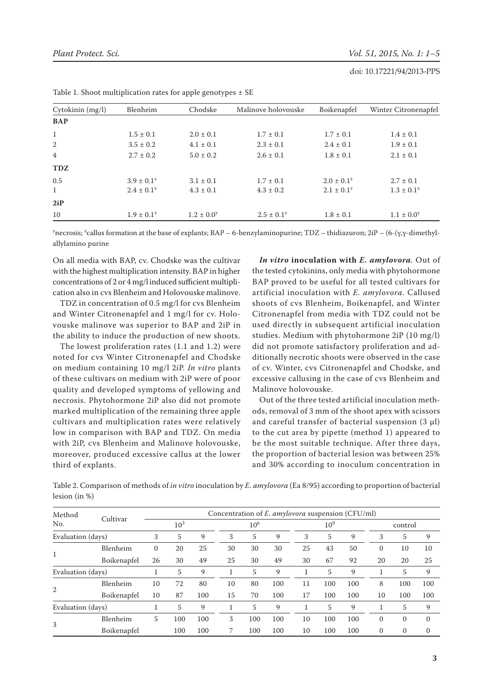|  | doi: 10.17221/94/2013-PPS |  |  |
|--|---------------------------|--|--|
|--|---------------------------|--|--|

| Cytokinin (mg/l) | Blenheim        | Chodske         | Malinove holovouske | Boikenapfel     | Winter Citronenapfel |
|------------------|-----------------|-----------------|---------------------|-----------------|----------------------|
| <b>BAP</b>       |                 |                 |                     |                 |                      |
| $\mathbf{1}$     | $1.5 \pm 0.1$   | $2.0 \pm 0.1$   | $1.7 \pm 0.1$       | $1.7 \pm 0.1$   | $1.4 \pm 0.1$        |
| 2                | $3.5 \pm 0.2$   | $4.1 \pm 0.1$   | $2.3 \pm 0.1$       | $2.4 \pm 0.1$   | $1.9 \pm 0.1$        |
| $\overline{4}$   | $2.7 \pm 0.2$   | $5.0 \pm 0.2$   | $2.6 \pm 0.1$       | $1.8 \pm 0.1$   | $2.1 \pm 0.1$        |
| <b>TDZ</b>       |                 |                 |                     |                 |                      |
| 0.5              | $3.9 \pm 0.1^z$ | $3.1 \pm 0.1$   | $1.7 \pm 0.1$       | $2.0 \pm 0.1^z$ | $2.7 \pm 0.1$        |
| $\mathbf{1}$     | $2.4 \pm 0.1^z$ | $4.3 \pm 0.1$   | $4.3 \pm 0.2$       | $2.1 \pm 0.1^z$ | $1.3 \pm 0.1^z$      |
| 2iP              |                 |                 |                     |                 |                      |
| 10               | $1.9 \pm 0.1^z$ | $1.2 \pm 0.0^y$ | $2.5 \pm 0.1^z$     | $1.8 \pm 0.1$   | $1.1 \pm 0.0^y$      |
|                  |                 |                 |                     |                 |                      |

Table 1. Shoot multiplication rates for apple genotypes  $\pm$  SE

<sup>y</sup>necrosis; <sup>z</sup>callus formation at the base of explants; BAP – 6-benzylaminopurine; TDZ – thidiazuron; 2iP – (6-(γ,γ-dimethylallylamino purine

On all media with BAP, cv. Chodske was the cultivar with the highest multiplication intensity. BAP in higher concentrations of 2 or 4 mg/l induced sufficient multiplication also in cvs Blenheim and Holovouske malinove.

TDZ in concentration of 0.5 mg/l for cvs Blenheim and Winter Citronenapfel and 1 mg/l for cv. Holovouske malinove was superior to BAP and 2iP in the ability to induce the production of new shoots.

The lowest proliferation rates (1.1 and 1.2) were noted for cvs Winter Citronenapfel and Chodske on medium containing 10 mg/l 2iP. *In vitro* plants of these cultivars on medium with 2iP were of poor quality and developed symptoms of yellowing and necrosis. Phytohormone 2iP also did not promote marked multiplication of the remaining three apple cultivars and multiplication rates were relatively low in comparison with BAP and TDZ. On media with 2iP, cvs Blenheim and Malinove holovouske, moreover, produced excessive callus at the lower third of explants.

*In vitro* **inoculation with** *E. amylovora.* Out of the tested cytokinins, only media with phytohormone BAP proved to be useful for all tested cultivars for artificial inoculation with *E. amylovora*. Callused shoots of cvs Blenheim, Boikenapfel, and Winter Citronenapfel from media with TDZ could not be used directly in subsequent artificial inoculation studies. Medium with phytohormone 2iP (10 mg/l) did not promote satisfactory proliferation and additionally necrotic shoots were observed in the case of cv. Winter, cvs Citronenapfel and Chodske, and excessive callusing in the case of cvs Blenheim and Malinove holovouske.

Out of the three tested artificial inoculation methods, removal of 3 mm of the shoot apex with scissors and careful transfer of bacterial suspension  $(3 \mu l)$ to the cut area by pipette (method 1) appeared to be the most suitable technique. After three days, the proportion of bacterial lesion was between 25% and 30% according to inoculum concentration in

Table 2. Comparison of methods of *in vitro* inoculation by *E. amylovora* (Ea 8/95) according to proportion of bacterial lesion (in %)

| Method            |             | Concentration of E. amylovora suspension (CFU/ml) |                 |     |    |          |     |    |                 |     |          |          |              |
|-------------------|-------------|---------------------------------------------------|-----------------|-----|----|----------|-----|----|-----------------|-----|----------|----------|--------------|
| Cultivar<br>No.   |             |                                                   | 10 <sup>3</sup> |     |    | $10^{6}$ |     |    | 10 <sup>9</sup> |     |          | control  |              |
| Evaluation (days) |             | 3                                                 | 5               | 9   | 3  | 5        | 9   | 3  | 5               | 9   | 3        | 5        | 9            |
| $\mathbf{1}$      | Blenheim    | $\Omega$                                          | 20              | 25  | 30 | 30       | 30  | 25 | 43              | 50  | $\Omega$ | 10       | 10           |
|                   | Boikenapfel | 26                                                | 30              | 49  | 25 | 30       | 49  | 30 | 67              | 92  | 20       | 20       | 25           |
| Evaluation (days) |             |                                                   | 5               | 9   |    | 5        | 9   |    | 5               | 9   |          | 5        | 9            |
| $\overline{2}$    | Blenheim    | 10                                                | 72              | 80  | 10 | 80       | 100 | 11 | 100             | 100 | 8        | 100      | 100          |
|                   | Boikenapfel | 10                                                | 87              | 100 | 15 | 70       | 100 | 17 | 100             | 100 | 10       | 100      | 100          |
| Evaluation (days) |             |                                                   | 5               | 9   |    | 5        | 9   |    | 5               | 9   |          | 5        | 9            |
| 3                 | Blenheim    | 5                                                 | 100             | 100 | 3  | 100      | 100 | 10 | 100             | 100 | $\Omega$ | $\Omega$ | $\mathbf{0}$ |
|                   | Boikenapfel |                                                   | 100             | 100 | 7  | 100      | 100 | 10 | 100             | 100 | $\Omega$ | $\Omega$ | $\Omega$     |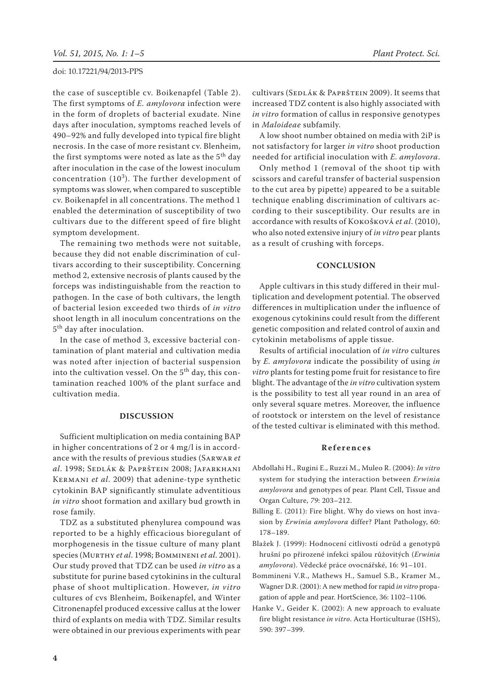the case of susceptible cv. Boikenapfel (Table 2). The first symptoms of *E. amylovora* infection were in the form of droplets of bacterial exudate. Nine days after inoculation, symptoms reached levels of 490–92% and fully developed into typical fire blight necrosis. In the case of more resistant cv. Blenheim, the first symptoms were noted as late as the  $5<sup>th</sup>$  day after inoculation in the case of the lowest inoculum concentration  $(10^3)$ . The further development of symptoms was slower, when compared to susceptible cv. Boikenapfel in all concentrations. The method 1 enabled the determination of susceptibility of two cultivars due to the different speed of fire blight symptom development.

The remaining two methods were not suitable, because they did not enable discrimination of cultivars according to their susceptibility. Concerning method 2, extensive necrosis of plants caused by the forceps was indistinguishable from the reaction to pathogen. In the case of both cultivars, the length of bacterial lesion exceeded two thirds of *in vitro* shoot length in all inoculum concentrations on the 5<sup>th</sup> day after inoculation.

In the case of method 3, excessive bacterial contamination of plant material and cultivation media was noted after injection of bacterial suspension into the cultivation vessel. On the  $5<sup>th</sup>$  day, this contamination reached 100% of the plant surface and cultivation media.

### **DISCUSSION**

Sufficient multiplication on media containing BAP in higher concentrations of 2 or 4 mg/l is in accordance with the results of previous studies (Sarwar *et al*. 1998; Sedlák & Paprštein 2008; Jafarkhani Kermani *et al*. 2009) that adenine-type synthetic cytokinin BAP significantly stimulate adventitious *in vitro* shoot formation and axillary bud growth in rose family.

TDZ as a substituted phenylurea compound was reported to be a highly efficacious bioregulant of morphogenesis in the tissue culture of many plant species (Murthy *et al*. 1998; Bommineni *et al*. 2001). Our study proved that TDZ can be used *in vitro* as a substitute for purine based cytokinins in the cultural phase of shoot multiplication. However, *in vitro* cultures of cvs Blenheim, Boikenapfel, and Winter Citronenapfel produced excessive callus at the lower third of explants on media with TDZ. Similar results were obtained in our previous experiments with pear

cultivars (SEDLÁK & PAPRŠTEIN 2009). It seems that increased TDZ content is also highly associated with *in vitro* formation of callus in responsive genotypes in *Maloideae* subfamily.

A low shoot number obtained on media with 2iP is not satisfactory for larger *in vitro* shoot production needed for artificial inoculation with *E. amylovora*.

Only method 1 (removal of the shoot tip with scissors and careful transfer of bacterial suspension to the cut area by pipette) appeared to be a suitable technique enabling discrimination of cultivars according to their susceptibility. Our results are in accordance with results of Kokošková *et al*. (2010), who also noted extensive injury of *in vitro* pear plants as a result of crushing with forceps.

# **CONCLUSION**

Apple cultivars in this study differed in their multiplication and development potential. The observed differences in multiplication under the influence of exogenous cytokinins could result from the different genetic composition and related control of auxin and cytokinin metabolisms of apple tissue.

Results of artificial inoculation of *in vitro* cultures by *E. amylovora* indicate the possibility of using *in vitro* plants for testing pome fruit for resistance to fire blight. The advantage of the *in vitro* cultivation system is the possibility to test all year round in an area of only several square metres. Moreover, the influence of rootstock or interstem on the level of resistance of the tested cultivar is eliminated with this method.

#### **References**

- Abdollahi H., Rugini E., Ruzzi M., Muleo R. (2004): *In vitro* system for studying the interaction between *Erwinia amylovora* and genotypes of pear. Plant Cell, Tissue and Organ Culture, *79*: 203–212.
- Billing E. (2011): Fire blight. Why do views on host invasion by *Erwinia amylovora* differ? Plant Pathology, 60: 178–189.
- Blažek J. (1999): Hodnocení citlivosti odrůd a genotypů hrušní po přirozené infekci spálou růžovitých (*Erwinia amylovora*). Vědecké práce ovocnářské, 16: 91–101.
- Bommineni V.R., Mathews H., Samuel S.B., Kramer M., Wagner D.R. (2001): A new method for rapid *in vitro* propagation of apple and pear. HortScience, 36: 1102–1106.
- Hanke V., Geider K. (2002): A new approach to evaluate fire blight resistance *in vitro*. Acta Horticulturae (ISHS), 590: 397–399.